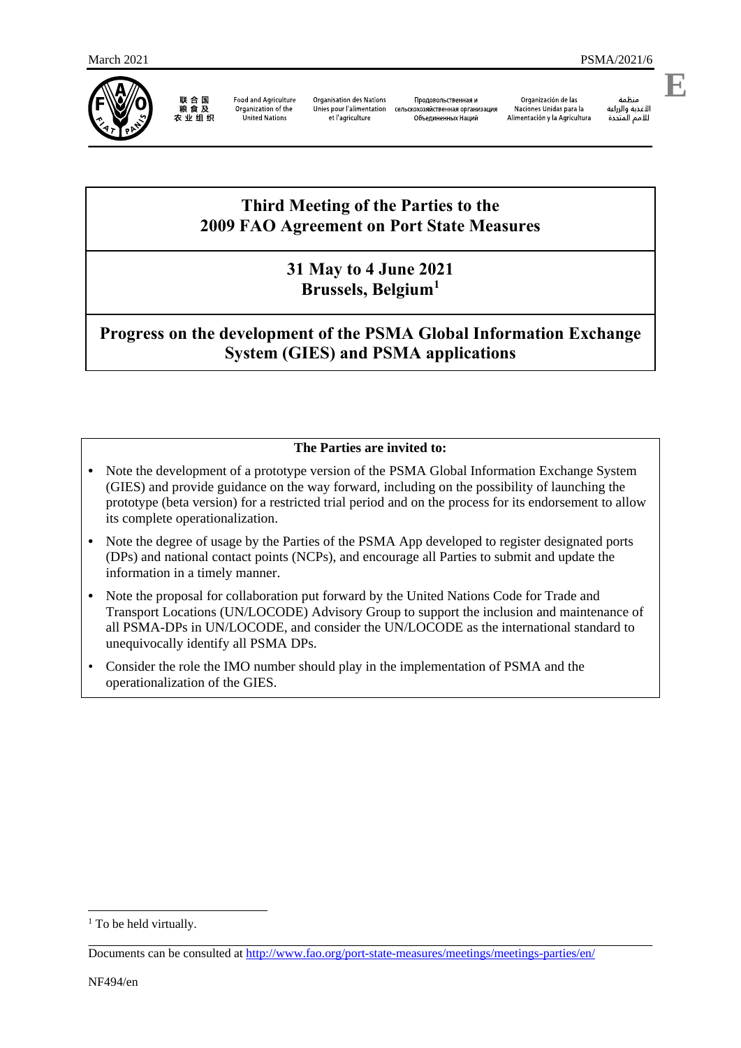

联合国<br>粮食及 农业组织

**Food and Agriculture** Organization of the **United Nations** 

**Organisation des Nations** Unies pour l'alimentation et l'agriculture

Проловольственная и сельскохозяйственная организация Объединенных Наций

Organización de las Naciones Unidas para la Alimentación y la Agricultura

منظمة

الأغذية والزراعة

**E**

# للأمم المتحدة

## **Third Meeting of the Parties to the 2009 FAO Agreement on Port State Measures**

## **31 May to 4 June 2021 Brussels, Belgium<sup>1</sup>**

**Progress on the development of the PSMA Global Information Exchange System (GIES) and PSMA applications**

## **The Parties are invited to:**

- **•** Note the development of a prototype version of the PSMA Global Information Exchange System (GIES) and provide guidance on the way forward, including on the possibility of launching the prototype (beta version) for a restricted trial period and on the process for its endorsement to allow its complete operationalization.
- Note the degree of usage by the Parties of the PSMA App developed to register designated ports (DPs) and national contact points (NCPs), and encourage all Parties to submit and update the information in a timely manner.
- **•** Note the proposal for collaboration put forward by the United Nations Code for Trade and Transport Locations (UN/LOCODE) Advisory Group to support the inclusion and maintenance of all PSMA-DPs in UN/LOCODE, and consider the UN/LOCODE as the international standard to unequivocally identify all PSMA DPs.
- Consider the role the IMO number should play in the implementation of PSMA and the operationalization of the GIES.

1

<sup>&</sup>lt;sup>1</sup> To be held virtually.

Documents can be consulted at<http://www.fao.org/port-state-measures/meetings/meetings-parties/en/>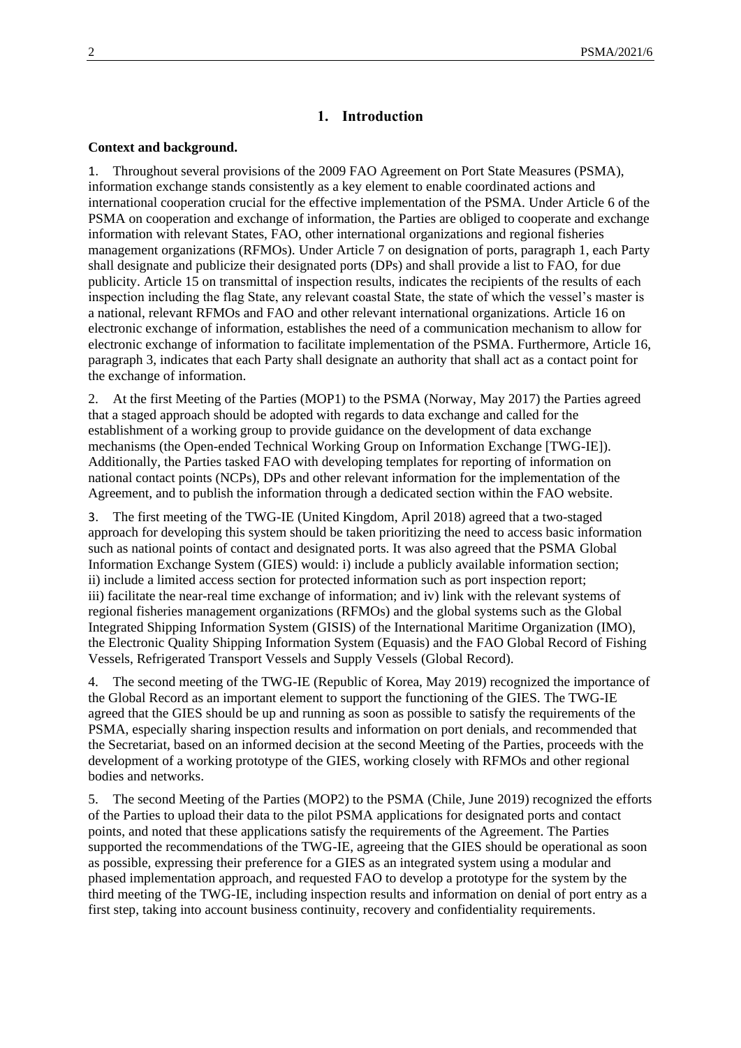#### **1. Introduction**

#### **Context and background.**

1. Throughout several provisions of the 2009 FAO Agreement on Port State Measures (PSMA), information exchange stands consistently as a key element to enable coordinated actions and international cooperation crucial for the effective implementation of the PSMA. Under Article 6 of the PSMA on cooperation and exchange of information, the Parties are obliged to cooperate and exchange information with relevant States, FAO, other international organizations and regional fisheries management organizations (RFMOs). Under Article 7 on designation of ports, paragraph 1, each Party shall designate and publicize their designated ports (DPs) and shall provide a list to FAO, for due publicity. Article 15 on transmittal of inspection results, indicates the recipients of the results of each inspection including the flag State, any relevant coastal State, the state of which the vessel's master is a national, relevant RFMOs and FAO and other relevant international organizations. Article 16 on electronic exchange of information*,* establishes the need of a communication mechanism to allow for electronic exchange of information to facilitate implementation of the PSMA. Furthermore, Article 16, paragraph 3, indicates that each Party shall designate an authority that shall act as a contact point for the exchange of information.

2. At the first Meeting of the Parties (MOP1) to the PSMA (Norway, May 2017) the Parties agreed that a staged approach should be adopted with regards to data exchange and called for the establishment of a working group to provide guidance on the development of data exchange mechanisms (the Open-ended Technical Working Group on Information Exchange [TWG-IE]). Additionally, the Parties tasked FAO with developing templates for reporting of information on national contact points (NCPs), DPs and other relevant information for the implementation of the Agreement, and to publish the information through a dedicated section within the FAO website.

3. The first meeting of the TWG-IE (United Kingdom, April 2018) agreed that a two-staged approach for developing this system should be taken prioritizing the need to access basic information such as national points of contact and designated ports. It was also agreed that the PSMA Global Information Exchange System (GIES) would: i) include a publicly available information section; ii) include a limited access section for protected information such as port inspection report; iii) facilitate the near-real time exchange of information; and iv) link with the relevant systems of regional fisheries management organizations (RFMOs) and the global systems such as the Global Integrated Shipping Information System (GISIS) of the International Maritime Organization (IMO), the Electronic Quality Shipping Information System (Equasis) and the FAO Global Record of Fishing Vessels, Refrigerated Transport Vessels and Supply Vessels (Global Record).

4. The second meeting of the TWG-IE (Republic of Korea, May 2019) recognized the importance of the Global Record as an important element to support the functioning of the GIES. The TWG-IE agreed that the GIES should be up and running as soon as possible to satisfy the requirements of the PSMA, especially sharing inspection results and information on port denials, and recommended that the Secretariat, based on an informed decision at the second Meeting of the Parties, proceeds with the development of a working prototype of the GIES, working closely with RFMOs and other regional bodies and networks.

5. The second Meeting of the Parties (MOP2) to the PSMA (Chile, June 2019) recognized the efforts of the Parties to upload their data to the pilot PSMA applications for designated ports and contact points, and noted that these applications satisfy the requirements of the Agreement. The Parties supported the recommendations of the TWG-IE, agreeing that the GIES should be operational as soon as possible, expressing their preference for a GIES as an integrated system using a modular and phased implementation approach, and requested FAO to develop a prototype for the system by the third meeting of the TWG-IE, including inspection results and information on denial of port entry as a first step, taking into account business continuity, recovery and confidentiality requirements.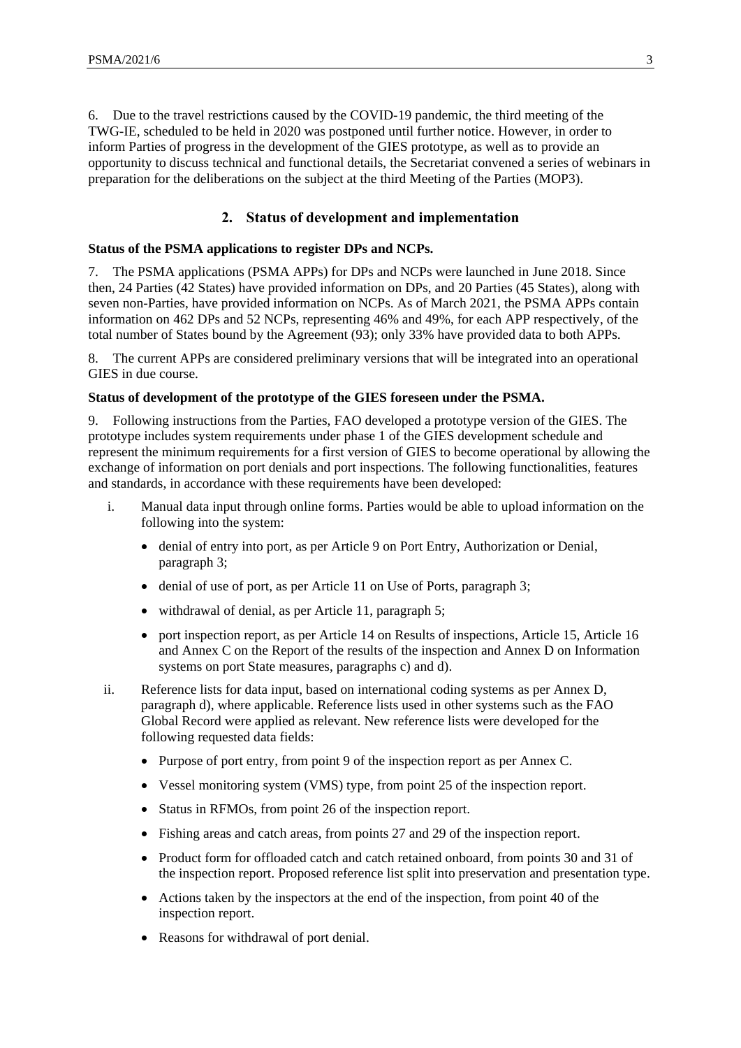6. Due to the travel restrictions caused by the COVID-19 pandemic, the third meeting of the TWG-IE, scheduled to be held in 2020 was postponed until further notice. However, in order to inform Parties of progress in the development of the GIES prototype, as well as to provide an opportunity to discuss technical and functional details, the Secretariat convened a series of webinars in preparation for the deliberations on the subject at the third Meeting of the Parties (MOP3).

### **2. Status of development and implementation**

#### **Status of the PSMA applications to register DPs and NCPs.**

7. The PSMA applications (PSMA APPs) for DPs and NCPs were launched in June 2018. Since then, 24 Parties (42 States) have provided information on DPs, and 20 Parties (45 States), along with seven non-Parties, have provided information on NCPs. As of March 2021, the PSMA APPs contain information on 462 DPs and 52 NCPs, representing 46% and 49%, for each APP respectively, of the total number of States bound by the Agreement (93); only 33% have provided data to both APPs.

8. The current APPs are considered preliminary versions that will be integrated into an operational GIES in due course.

#### **Status of development of the prototype of the GIES foreseen under the PSMA.**

9. Following instructions from the Parties, FAO developed a prototype version of the GIES. The prototype includes system requirements under phase 1 of the GIES development schedule and represent the minimum requirements for a first version of GIES to become operational by allowing the exchange of information on port denials and port inspections. The following functionalities, features and standards, in accordance with these requirements have been developed:

- i. Manual data input through online forms. Parties would be able to upload information on the following into the system:
	- denial of entry into port, as per Article 9 on Port Entry, Authorization or Denial, paragraph 3;
	- denial of use of port, as per Article 11 on Use of Ports, paragraph 3;
	- withdrawal of denial, as per Article 11, paragraph 5;
	- port inspection report, as per Article 14 on Results of inspections, Article 15, Article 16 and Annex C on the Report of the results of the inspection and Annex D on Information systems on port State measures, paragraphs c) and d).
- ii. Reference lists for data input, based on international coding systems as per Annex D, paragraph d), where applicable. Reference lists used in other systems such as the FAO Global Record were applied as relevant. New reference lists were developed for the following requested data fields:
	- Purpose of port entry, from point 9 of the inspection report as per Annex C.
	- Vessel monitoring system (VMS) type, from point 25 of the inspection report.
	- Status in RFMOs, from point 26 of the inspection report.
	- Fishing areas and catch areas, from points 27 and 29 of the inspection report.
	- Product form for offloaded catch and catch retained onboard, from points 30 and 31 of the inspection report. Proposed reference list split into preservation and presentation type.
	- Actions taken by the inspectors at the end of the inspection, from point 40 of the inspection report.
	- Reasons for withdrawal of port denial.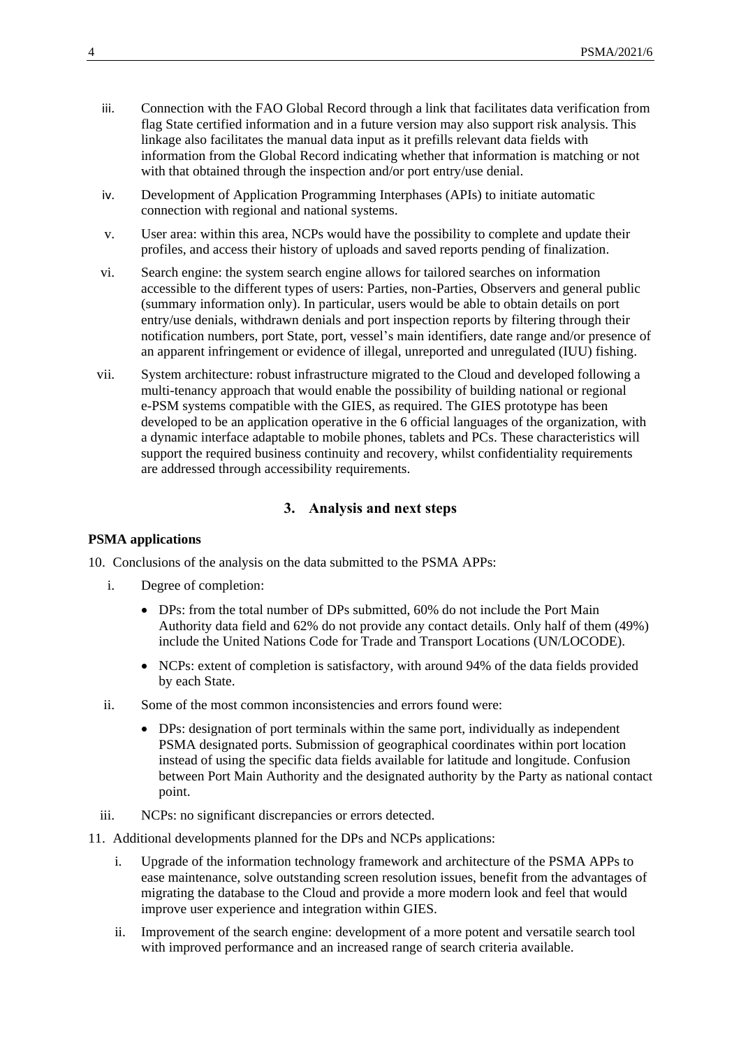- iii. Connection with the FAO Global Record through a link that facilitates data verification from flag State certified information and in a future version may also support risk analysis. This linkage also facilitates the manual data input as it prefills relevant data fields with information from the Global Record indicating whether that information is matching or not with that obtained through the inspection and/or port entry/use denial.
- iv. Development of Application Programming Interphases (APIs) to initiate automatic connection with regional and national systems.
- v. User area: within this area, NCPs would have the possibility to complete and update their profiles, and access their history of uploads and saved reports pending of finalization.
- vi. Search engine: the system search engine allows for tailored searches on information accessible to the different types of users: Parties, non-Parties, Observers and general public (summary information only). In particular, users would be able to obtain details on port entry/use denials, withdrawn denials and port inspection reports by filtering through their notification numbers, port State, port, vessel's main identifiers, date range and/or presence of an apparent infringement or evidence of illegal, unreported and unregulated (IUU) fishing.
- vii. System architecture: robust infrastructure migrated to the Cloud and developed following a multi-tenancy approach that would enable the possibility of building national or regional e-PSM systems compatible with the GIES, as required. The GIES prototype has been developed to be an application operative in the 6 official languages of the organization, with a dynamic interface adaptable to mobile phones, tablets and PCs. These characteristics will support the required business continuity and recovery, whilst confidentiality requirements are addressed through accessibility requirements.

#### **3. Analysis and next steps**

#### **PSMA applications**

10. Conclusions of the analysis on the data submitted to the PSMA APPs:

- i. Degree of completion:
	- DPs: from the total number of DPs submitted, 60% do not include the Port Main Authority data field and 62% do not provide any contact details. Only half of them (49%) include the United Nations Code for Trade and Transport Locations (UN/LOCODE).
	- NCPs: extent of completion is satisfactory, with around 94% of the data fields provided by each State.
- ii. Some of the most common inconsistencies and errors found were:
	- DPs: designation of port terminals within the same port, individually as independent PSMA designated ports. Submission of geographical coordinates within port location instead of using the specific data fields available for latitude and longitude. Confusion between Port Main Authority and the designated authority by the Party as national contact point.
- iii. NCPs: no significant discrepancies or errors detected.
- 11. Additional developments planned for the DPs and NCPs applications:
	- i. Upgrade of the information technology framework and architecture of the PSMA APPs to ease maintenance, solve outstanding screen resolution issues, benefit from the advantages of migrating the database to the Cloud and provide a more modern look and feel that would improve user experience and integration within GIES.
	- ii. Improvement of the search engine: development of a more potent and versatile search tool with improved performance and an increased range of search criteria available.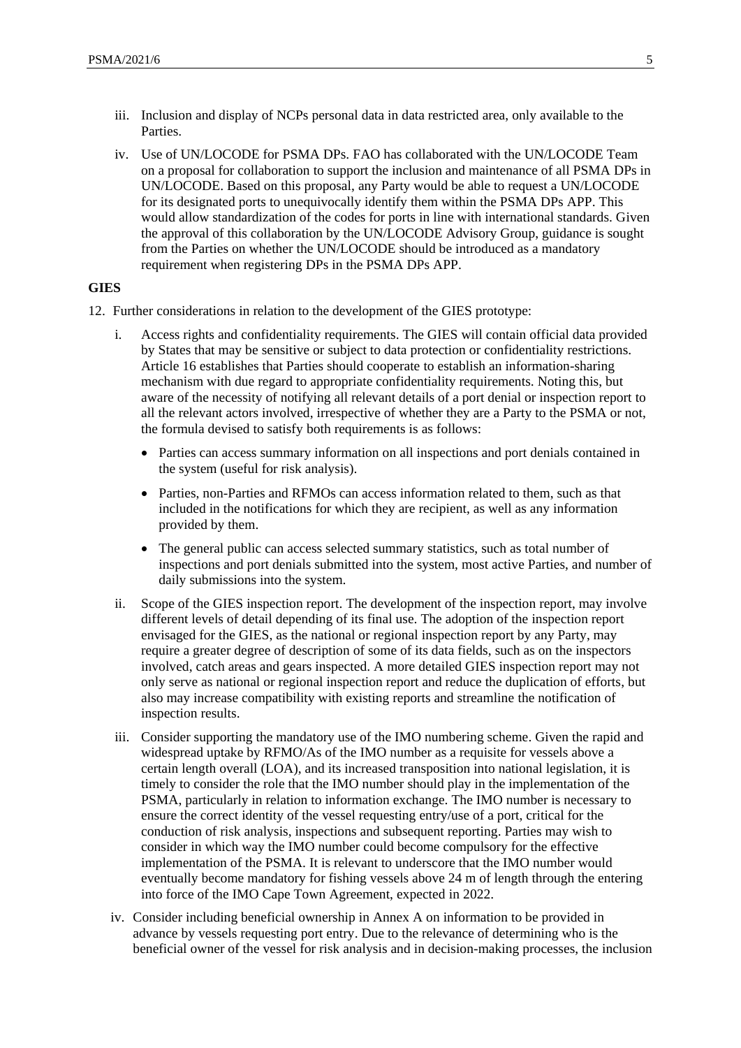- iii. Inclusion and display of NCPs personal data in data restricted area, only available to the Parties.
- iv. Use of UN/LOCODE for PSMA DPs. FAO has collaborated with the UN/LOCODE Team on a proposal for collaboration to support the inclusion and maintenance of all PSMA DPs in UN/LOCODE. Based on this proposal, any Party would be able to request a UN/LOCODE for its designated ports to unequivocally identify them within the PSMA DPs APP. This would allow standardization of the codes for ports in line with international standards. Given the approval of this collaboration by the UN/LOCODE Advisory Group, guidance is sought from the Parties on whether the UN/LOCODE should be introduced as a mandatory requirement when registering DPs in the PSMA DPs APP.

#### **GIES**

- 12. Further considerations in relation to the development of the GIES prototype:
	- i. Access rights and confidentiality requirements. The GIES will contain official data provided by States that may be sensitive or subject to data protection or confidentiality restrictions. Article 16 establishes that Parties should cooperate to establish an information-sharing mechanism with due regard to appropriate confidentiality requirements. Noting this, but aware of the necessity of notifying all relevant details of a port denial or inspection report to all the relevant actors involved, irrespective of whether they are a Party to the PSMA or not, the formula devised to satisfy both requirements is as follows:
		- Parties can access summary information on all inspections and port denials contained in the system (useful for risk analysis).
		- Parties, non-Parties and RFMOs can access information related to them, such as that included in the notifications for which they are recipient, as well as any information provided by them.
		- The general public can access selected summary statistics, such as total number of inspections and port denials submitted into the system, most active Parties, and number of daily submissions into the system.
	- ii. Scope of the GIES inspection report. The development of the inspection report, may involve different levels of detail depending of its final use. The adoption of the inspection report envisaged for the GIES, as the national or regional inspection report by any Party, may require a greater degree of description of some of its data fields, such as on the inspectors involved, catch areas and gears inspected. A more detailed GIES inspection report may not only serve as national or regional inspection report and reduce the duplication of efforts, but also may increase compatibility with existing reports and streamline the notification of inspection results.
	- iii. Consider supporting the mandatory use of the IMO numbering scheme. Given the rapid and widespread uptake by RFMO/As of the IMO number as a requisite for vessels above a certain length overall (LOA), and its increased transposition into national legislation, it is timely to consider the role that the IMO number should play in the implementation of the PSMA, particularly in relation to information exchange. The IMO number is necessary to ensure the correct identity of the vessel requesting entry/use of a port, critical for the conduction of risk analysis, inspections and subsequent reporting. Parties may wish to consider in which way the IMO number could become compulsory for the effective implementation of the PSMA. It is relevant to underscore that the IMO number would eventually become mandatory for fishing vessels above 24 m of length through the entering into force of the IMO Cape Town Agreement, expected in 2022.
	- iv. Consider including beneficial ownership in Annex A on information to be provided in advance by vessels requesting port entry. Due to the relevance of determining who is the beneficial owner of the vessel for risk analysis and in decision-making processes, the inclusion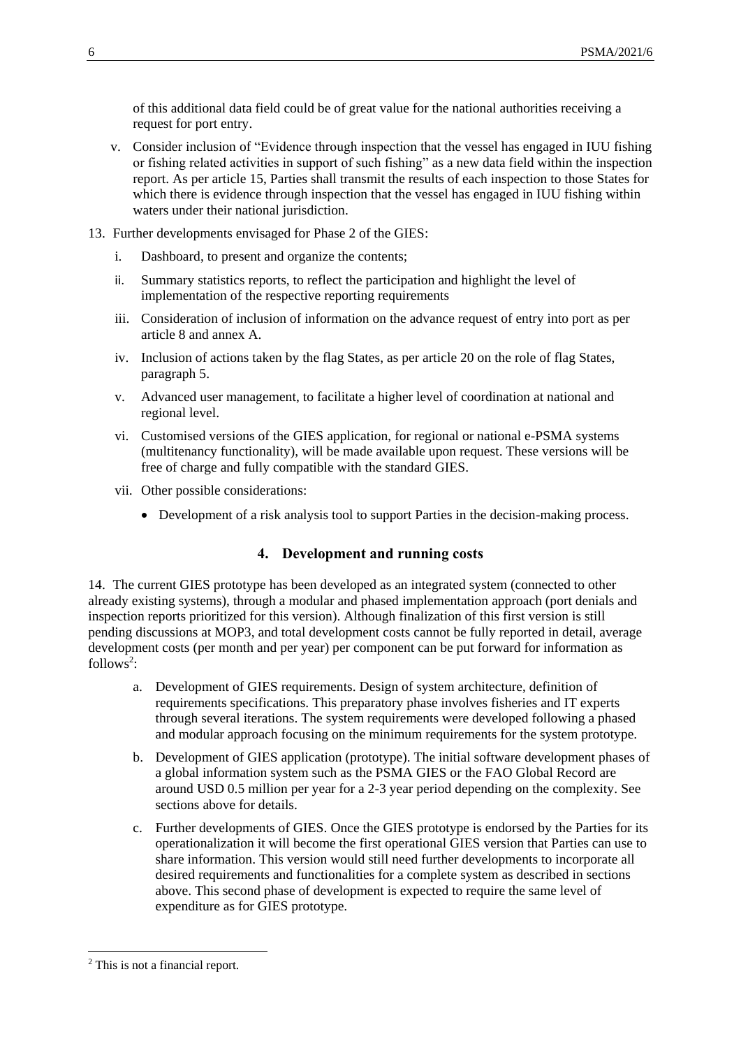of this additional data field could be of great value for the national authorities receiving a request for port entry.

- v. Consider inclusion of "Evidence through inspection that the vessel has engaged in IUU fishing or fishing related activities in support of such fishing" as a new data field within the inspection report. As per article 15, Parties shall transmit the results of each inspection to those States for which there is evidence through inspection that the vessel has engaged in IUU fishing within waters under their national jurisdiction.
- 13. Further developments envisaged for Phase 2 of the GIES:
	- i. Dashboard, to present and organize the contents;
	- ii. Summary statistics reports, to reflect the participation and highlight the level of implementation of the respective reporting requirements
	- iii. Consideration of inclusion of information on the advance request of entry into port as per article 8 and annex A.
	- iv. Inclusion of actions taken by the flag States, as per article 20 on the role of flag States, paragraph 5.
	- v. Advanced user management, to facilitate a higher level of coordination at national and regional level.
	- vi. Customised versions of the GIES application, for regional or national e-PSMA systems (multitenancy functionality), will be made available upon request. These versions will be free of charge and fully compatible with the standard GIES.
	- vii. Other possible considerations:
		- Development of a risk analysis tool to support Parties in the decision-making process.

## **4. Development and running costs**

14. The current GIES prototype has been developed as an integrated system (connected to other already existing systems), through a modular and phased implementation approach (port denials and inspection reports prioritized for this version). Although finalization of this first version is still pending discussions at MOP3, and total development costs cannot be fully reported in detail, average development costs (per month and per year) per component can be put forward for information as follows<sup>2</sup>:

- a. Development of GIES requirements. Design of system architecture, definition of requirements specifications. This preparatory phase involves fisheries and IT experts through several iterations. The system requirements were developed following a phased and modular approach focusing on the minimum requirements for the system prototype.
- b. Development of GIES application (prototype). The initial software development phases of a global information system such as the PSMA GIES or the FAO Global Record are around USD 0.5 million per year for a 2-3 year period depending on the complexity. See sections above for details.
- c. Further developments of GIES. Once the GIES prototype is endorsed by the Parties for its operationalization it will become the first operational GIES version that Parties can use to share information. This version would still need further developments to incorporate all desired requirements and functionalities for a complete system as described in sections above. This second phase of development is expected to require the same level of expenditure as for GIES prototype.

1

<sup>2</sup> This is not a financial report.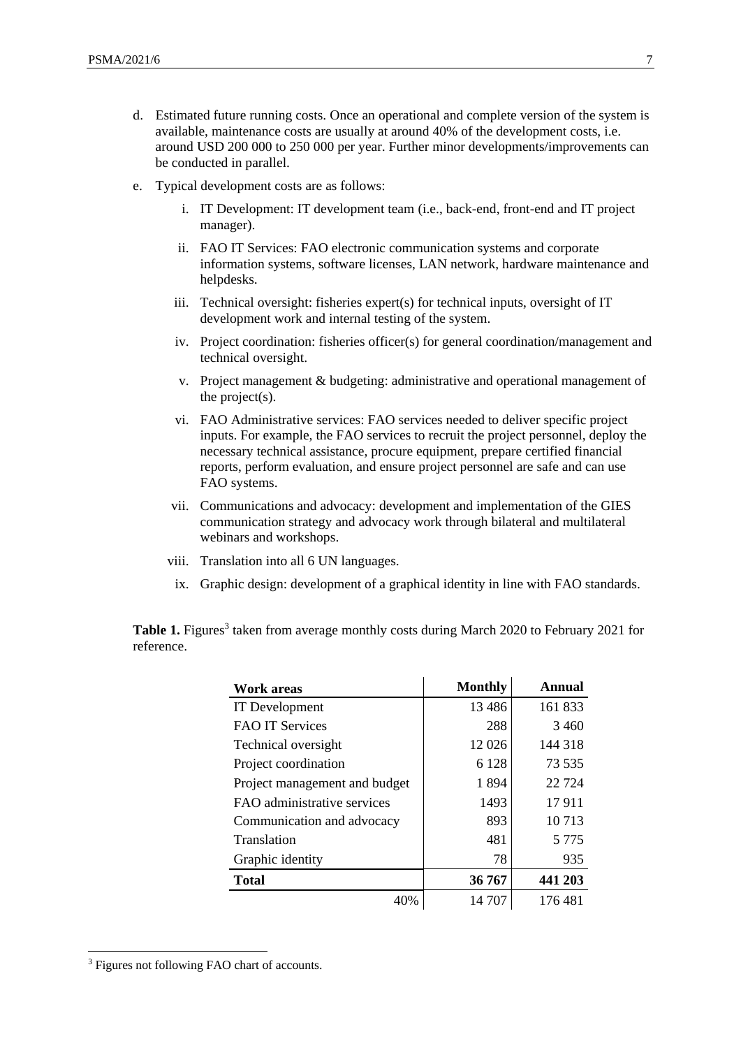- d. Estimated future running costs. Once an operational and complete version of the system is available, maintenance costs are usually at around 40% of the development costs, i.e. around USD 200 000 to 250 000 per year. Further minor developments/improvements can be conducted in parallel.
- e. Typical development costs are as follows:
	- i. IT Development: IT development team (i.e., back-end, front-end and IT project manager).
	- ii. FAO IT Services: FAO electronic communication systems and corporate information systems, software licenses, LAN network, hardware maintenance and helpdesks.
	- iii. Technical oversight: fisheries expert(s) for technical inputs, oversight of IT development work and internal testing of the system.
	- iv. Project coordination: fisheries officer(s) for general coordination/management and technical oversight.
	- v. Project management & budgeting: administrative and operational management of the project(s).
	- vi. FAO Administrative services: FAO services needed to deliver specific project inputs. For example, the FAO services to recruit the project personnel, deploy the necessary technical assistance, procure equipment, prepare certified financial reports, perform evaluation, and ensure project personnel are safe and can use FAO systems.
	- vii. Communications and advocacy: development and implementation of the GIES communication strategy and advocacy work through bilateral and multilateral webinars and workshops.
	- viii. Translation into all 6 UN languages.
	- ix. Graphic design: development of a graphical identity in line with FAO standards.

Table 1. Figures<sup>3</sup> taken from average monthly costs during March 2020 to February 2021 for reference.

| <b>Work areas</b>             | <b>Monthly</b> | Annual  |  |  |
|-------------------------------|----------------|---------|--|--|
| IT Development                | 13 4 8 6       | 161 833 |  |  |
| <b>FAO IT Services</b>        | 288            | 3460    |  |  |
| Technical oversight           | 12 0 26        | 144 318 |  |  |
| Project coordination          | 6 1 2 8        | 73 535  |  |  |
| Project management and budget | 1894           | 22 7 24 |  |  |
| FAO administrative services   | 1493           | 17911   |  |  |
| Communication and advocacy    | 893            | 10713   |  |  |
| Translation                   | 481            | 5 7 7 5 |  |  |
| Graphic identity              | 78             | 935     |  |  |
| <b>Total</b>                  | 36 767         | 441 203 |  |  |
| 40%                           | 14 707         | 176 481 |  |  |

1

<sup>&</sup>lt;sup>3</sup> Figures not following FAO chart of accounts.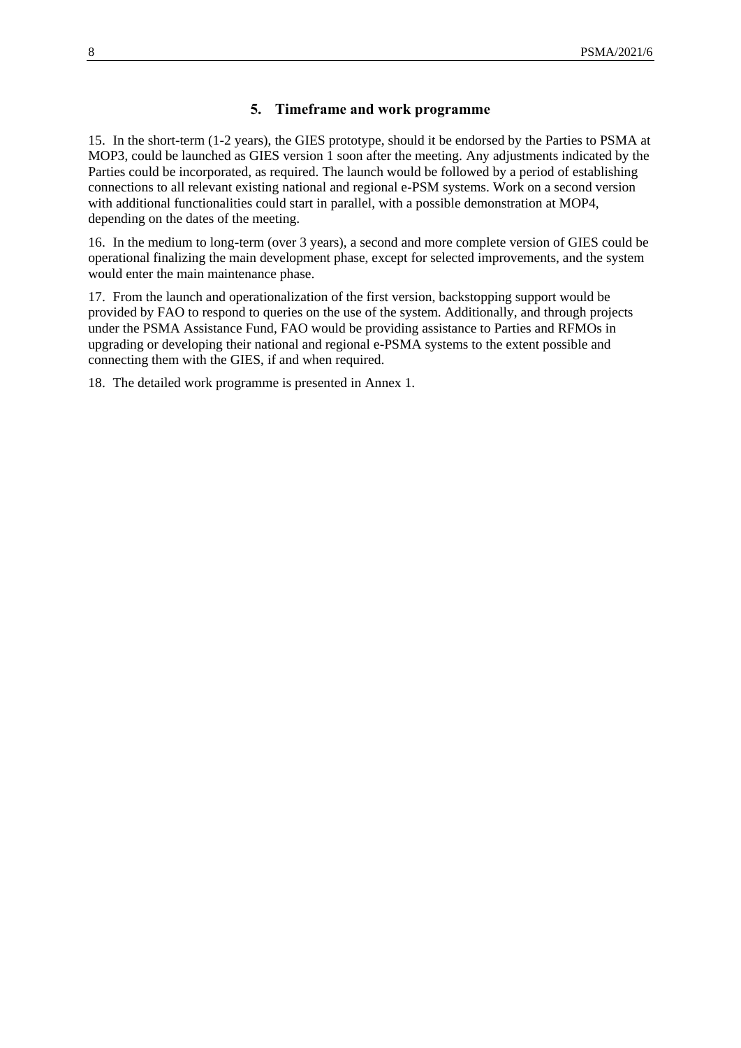### **5. Timeframe and work programme**

15. In the short-term (1-2 years), the GIES prototype, should it be endorsed by the Parties to PSMA at MOP3, could be launched as GIES version 1 soon after the meeting. Any adjustments indicated by the Parties could be incorporated, as required. The launch would be followed by a period of establishing connections to all relevant existing national and regional e-PSM systems. Work on a second version with additional functionalities could start in parallel, with a possible demonstration at MOP4, depending on the dates of the meeting.

16. In the medium to long-term (over 3 years), a second and more complete version of GIES could be operational finalizing the main development phase, except for selected improvements, and the system would enter the main maintenance phase.

17. From the launch and operationalization of the first version, backstopping support would be provided by FAO to respond to queries on the use of the system. Additionally, and through projects under the PSMA Assistance Fund, FAO would be providing assistance to Parties and RFMOs in upgrading or developing their national and regional e-PSMA systems to the extent possible and connecting them with the GIES, if and when required.

18. The detailed work programme is presented in Annex 1.